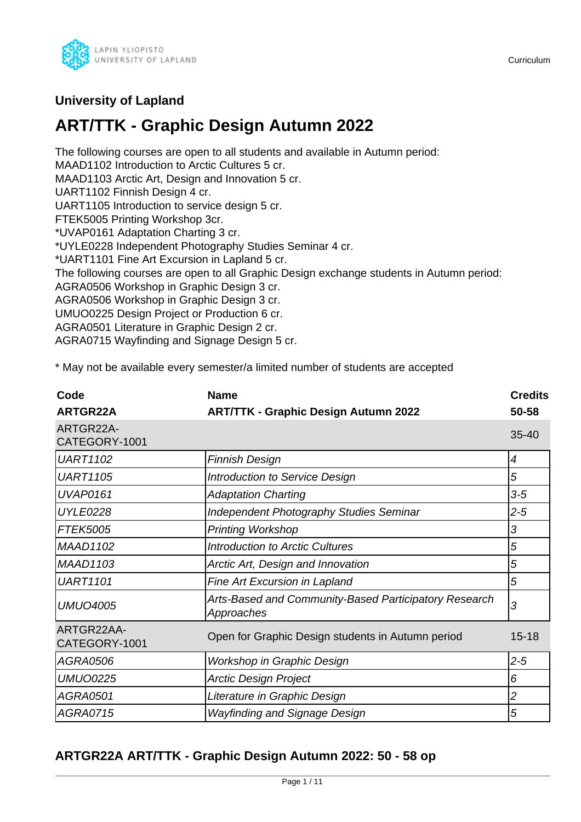

# **University of Lapland**

# **ART/TTK - Graphic Design Autumn 2022**

The following courses are open to all students and available in Autumn period: MAAD1102 Introduction to Arctic Cultures 5 cr. MAAD1103 Arctic Art, Design and Innovation 5 cr. UART1102 Finnish Design 4 cr. UART1105 Introduction to service design 5 cr. FTEK5005 Printing Workshop 3cr. \*UVAP0161 Adaptation Charting 3 cr. \*UYLE0228 Independent Photography Studies Seminar 4 cr. \*UART1101 Fine Art Excursion in Lapland 5 cr. The following courses are open to all Graphic Design exchange students in Autumn period: AGRA0506 Workshop in Graphic Design 3 cr. AGRA0506 Workshop in Graphic Design 3 cr. UMUO0225 Design Project or Production 6 cr. AGRA0501 Literature in Graphic Design 2 cr. AGRA0715 Wayfinding and Signage Design 5 cr.

\* May not be available every semester/a limited number of students are accepted

| Code<br>ARTGR22A            | <b>Name</b><br><b>ART/TTK - Graphic Design Autumn 2022</b>          | <b>Credits</b><br>50-58 |
|-----------------------------|---------------------------------------------------------------------|-------------------------|
| ARTGR22A-<br>CATEGORY-1001  |                                                                     | $35 - 40$               |
| <b>UART1102</b>             | <b>Finnish Design</b>                                               | $\overline{4}$          |
| <b>UART1105</b>             | <b>Introduction to Service Design</b>                               | 5                       |
| <b>UVAP0161</b>             | <b>Adaptation Charting</b>                                          | $3-5$                   |
| <b>UYLE0228</b>             | <b>Independent Photography Studies Seminar</b>                      | $2 - 5$                 |
| <b>FTEK5005</b>             | <b>Printing Workshop</b>                                            | 3                       |
| <b>MAAD1102</b>             | <b>Introduction to Arctic Cultures</b>                              | 5                       |
| <b>MAAD1103</b>             | Arctic Art, Design and Innovation                                   | 5                       |
| <b>UART1101</b>             | Fine Art Excursion in Lapland                                       | 5                       |
| <b>UMUO4005</b>             | Arts-Based and Community-Based Participatory Research<br>Approaches | 3                       |
| ARTGR22AA-<br>CATEGORY-1001 | Open for Graphic Design students in Autumn period                   | $15 - 18$               |
| AGRA0506                    | Workshop in Graphic Design                                          | $2 - 5$                 |
| <b>UMUO0225</b>             | <b>Arctic Design Project</b>                                        | 6                       |
| AGRA0501                    | Literature in Graphic Design                                        | 2                       |
| AGRA0715                    | <b>Wayfinding and Signage Design</b>                                | 5                       |

# **ARTGR22A ART/TTK - Graphic Design Autumn 2022: 50 - 58 op**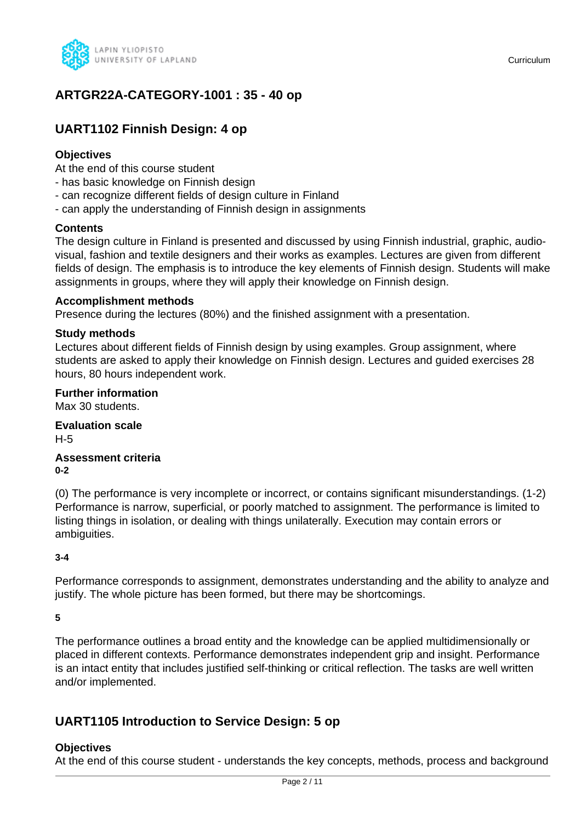

# **ARTGR22A-CATEGORY-1001 : 35 - 40 op**

### **UART1102 Finnish Design: 4 op**

### **Objectives**

At the end of this course student

- has basic knowledge on Finnish design
- can recognize different fields of design culture in Finland
- can apply the understanding of Finnish design in assignments

### **Contents**

The design culture in Finland is presented and discussed by using Finnish industrial, graphic, audiovisual, fashion and textile designers and their works as examples. Lectures are given from different fields of design. The emphasis is to introduce the key elements of Finnish design. Students will make assignments in groups, where they will apply their knowledge on Finnish design.

### **Accomplishment methods**

Presence during the lectures (80%) and the finished assignment with a presentation.

### **Study methods**

Lectures about different fields of Finnish design by using examples. Group assignment, where students are asked to apply their knowledge on Finnish design. Lectures and guided exercises 28 hours, 80 hours independent work.

### **Further information**

Max 30 students.

**Evaluation scale** H-5

### **Assessment criteria 0-2**

(0) The performance is very incomplete or incorrect, or contains significant misunderstandings. (1-2) Performance is narrow, superficial, or poorly matched to assignment. The performance is limited to listing things in isolation, or dealing with things unilaterally. Execution may contain errors or ambiguities.

### **3-4**

Performance corresponds to assignment, demonstrates understanding and the ability to analyze and justify. The whole picture has been formed, but there may be shortcomings.

### **5**

The performance outlines a broad entity and the knowledge can be applied multidimensionally or placed in different contexts. Performance demonstrates independent grip and insight. Performance is an intact entity that includes justified self-thinking or critical reflection. The tasks are well written and/or implemented.

# **UART1105 Introduction to Service Design: 5 op**

### **Objectives**

At the end of this course student - understands the key concepts, methods, process and background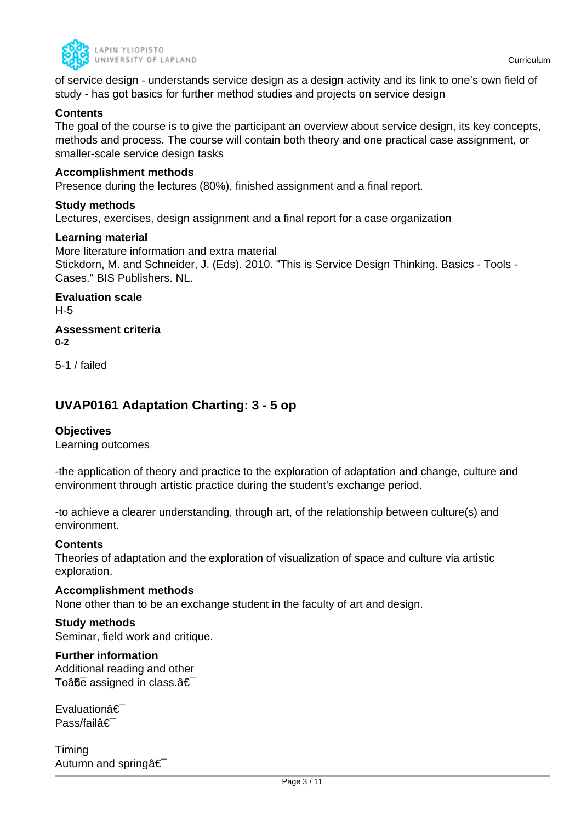

of service design - understands service design as a design activity and its link to one's own field of study - has got basics for further method studies and projects on service design

### **Contents**

The goal of the course is to give the participant an overview about service design, its key concepts, methods and process. The course will contain both theory and one practical case assignment, or smaller-scale service design tasks

### **Accomplishment methods**

Presence during the lectures (80%), finished assignment and a final report.

#### **Study methods**

Lectures, exercises, design assignment and a final report for a case organization

#### **Learning material**

More literature information and extra material Stickdorn, M. and Schneider, J. (Eds). 2010. "This is Service Design Thinking. Basics - Tools - Cases." BIS Publishers. NL.

**Evaluation scale** H-5

**Assessment criteria 0-2**

5-1 / failed

### **UVAP0161 Adaptation Charting: 3 - 5 op**

### **Objectives**

Learning outcomes

-the application of theory and practice to the exploration of adaptation and change, culture and environment through artistic practice during the student's exchange period.

-to achieve a clearer understanding, through art, of the relationship between culture(s) and environment.

#### **Contents**

Theories of adaptation and the exploration of visualization of space and culture via artistic exploration.

#### **Accomplishment methods**

None other than to be an exchange student in the faculty of art and design.

### **Study methods**

Seminar, field work and critique.

### **Further information**

Additional reading and other To $a\overline{b}\overline{c}$  assigned in class. $a\in$ 

Evaluationâ€ Pass/failâ€

Timing Autumn and spring $a \in$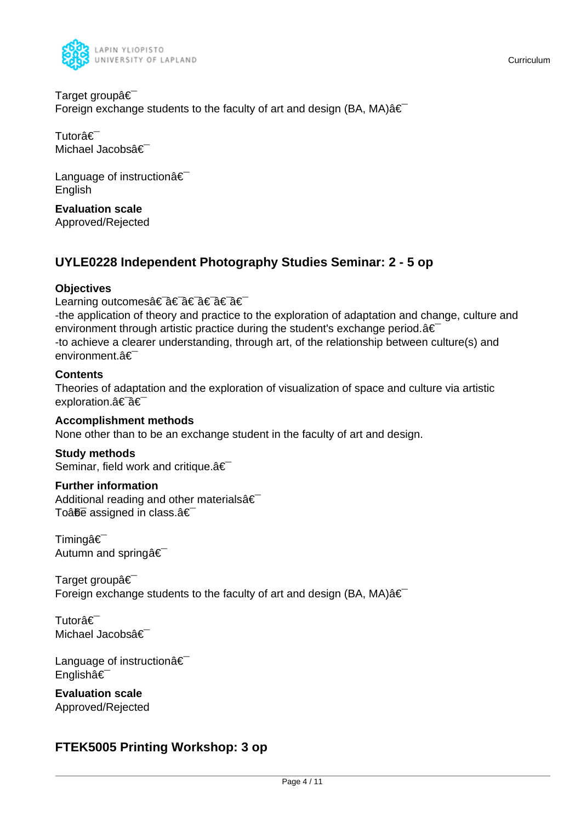

Target groupâ€ Foreign exchange students to the faculty of art and design (BA, MA) $\hat{a} \in \hat{a}$ 

Tutorâ€⊤ Michael Jacobsâ€

Language of instruction a€ English

**Evaluation scale** Approved/Rejected

# **UYLE0228 Independent Photography Studies Seminar: 2 - 5 op**

### **Objectives**

Learning outcomes†â€ †â€ †â€

-the application of theory and practice to the exploration of adaptation and change, culture and environment through artistic practice during the student's exchange period. $A \in \mathbb{R}$ -to achieve a clearer understanding, through art, of the relationship between culture(s) and environment.â€

### **Contents**

Theories of adaptation and the exploration of visualization of space and culture via artistic exploration.a<sup>€-</sup>a€

### **Accomplishment methods**

None other than to be an exchange student in the faculty of art and design.

### **Study methods**

Seminar, field work and critique. $\hat{a} \in \hat{a}$ 

### **Further information**

Additional reading and other materials $\hat{\mathbf{a}} \in \mathbb{R}$ To $\hat{a}$ <del>fie</del> assigned in class. $\hat{a} \in \hat{a}$ 

Timingâ€ Autumn and springa €

Target group  $\hat{\epsilon}$ Foreign exchange students to the faculty of art and design (BA, MA) $\hat{\mathbf{a}} \in \mathbb{R}$ 

Tutorâ€<sup>-</sup> Michael Jacobsâ€

Language of instructionâ€ Englishâ€

**Evaluation scale** Approved/Rejected

# **FTEK5005 Printing Workshop: 3 op**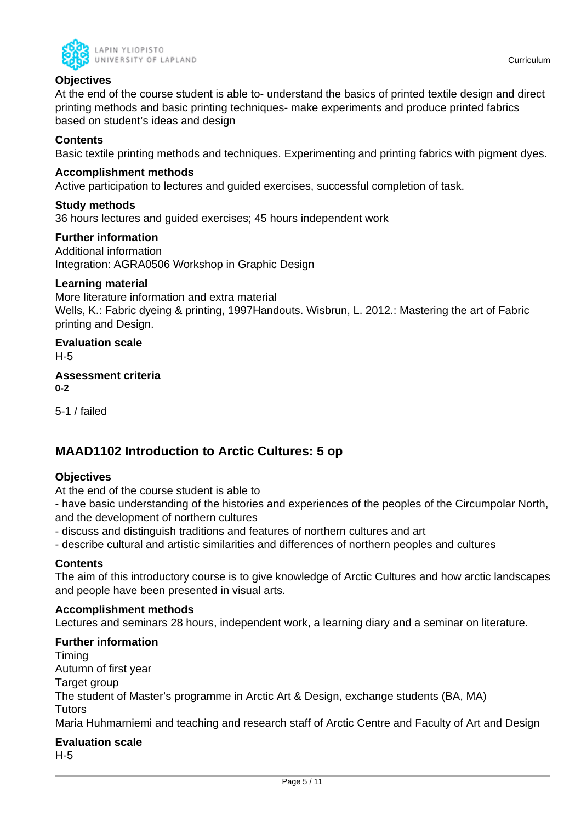

# **Objectives**

At the end of the course student is able to- understand the basics of printed textile design and direct printing methods and basic printing techniques- make experiments and produce printed fabrics based on student's ideas and design

### **Contents**

Basic textile printing methods and techniques. Experimenting and printing fabrics with pigment dyes.

### **Accomplishment methods**

Active participation to lectures and guided exercises, successful completion of task.

### **Study methods**

36 hours lectures and guided exercises; 45 hours independent work

### **Further information**

Additional information Integration: AGRA0506 Workshop in Graphic Design

### **Learning material**

More literature information and extra material Wells, K.: Fabric dyeing & printing, 1997Handouts. Wisbrun, L. 2012.: Mastering the art of Fabric printing and Design.

# **Evaluation scale**

H-5

### **Assessment criteria 0-2**

5-1 / failed

# **MAAD1102 Introduction to Arctic Cultures: 5 op**

### **Objectives**

At the end of the course student is able to

- have basic understanding of the histories and experiences of the peoples of the Circumpolar North, and the development of northern cultures

- discuss and distinguish traditions and features of northern cultures and art

- describe cultural and artistic similarities and differences of northern peoples and cultures

### **Contents**

The aim of this introductory course is to give knowledge of Arctic Cultures and how arctic landscapes and people have been presented in visual arts.

### **Accomplishment methods**

Lectures and seminars 28 hours, independent work, a learning diary and a seminar on literature.

### **Further information**

Timing Autumn of first year Target group The student of Master's programme in Arctic Art & Design, exchange students (BA, MA) **Tutors** Maria Huhmarniemi and teaching and research staff of Arctic Centre and Faculty of Art and Design

### **Evaluation scale**

H-5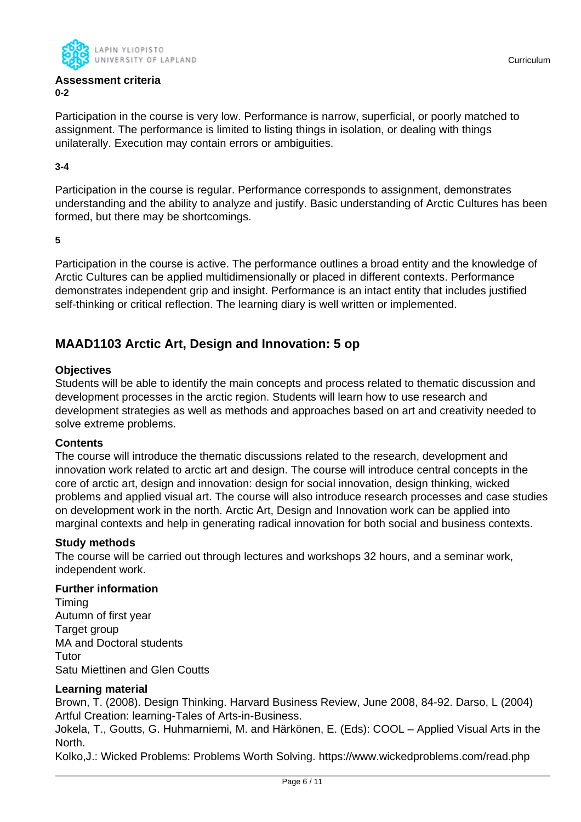

Curriculum

### **Assessment criteria 0-2**

Participation in the course is very low. Performance is narrow, superficial, or poorly matched to assignment. The performance is limited to listing things in isolation, or dealing with things unilaterally. Execution may contain errors or ambiguities.

### **3-4**

Participation in the course is regular. Performance corresponds to assignment, demonstrates understanding and the ability to analyze and justify. Basic understanding of Arctic Cultures has been formed, but there may be shortcomings.

**5**

Participation in the course is active. The performance outlines a broad entity and the knowledge of Arctic Cultures can be applied multidimensionally or placed in different contexts. Performance demonstrates independent grip and insight. Performance is an intact entity that includes justified self-thinking or critical reflection. The learning diary is well written or implemented.

# **MAAD1103 Arctic Art, Design and Innovation: 5 op**

### **Objectives**

Students will be able to identify the main concepts and process related to thematic discussion and development processes in the arctic region. Students will learn how to use research and development strategies as well as methods and approaches based on art and creativity needed to solve extreme problems.

### **Contents**

The course will introduce the thematic discussions related to the research, development and innovation work related to arctic art and design. The course will introduce central concepts in the core of arctic art, design and innovation: design for social innovation, design thinking, wicked problems and applied visual art. The course will also introduce research processes and case studies on development work in the north. Arctic Art, Design and Innovation work can be applied into marginal contexts and help in generating radical innovation for both social and business contexts.

### **Study methods**

The course will be carried out through lectures and workshops 32 hours, and a seminar work, independent work.

### **Further information**

Timing Autumn of first year Target group MA and Doctoral students Tutor Satu Miettinen and Glen Coutts

### **Learning material**

Brown, T. (2008). Design Thinking. Harvard Business Review, June 2008, 84-92. Darso, L (2004) Artful Creation: learning-Tales of Arts-in-Business.

Jokela, T., Goutts, G. Huhmarniemi, M. and Härkönen, E. (Eds): COOL – Applied Visual Arts in the North.

Kolko,J.: Wicked Problems: Problems Worth Solving. https://www.wickedproblems.com/read.php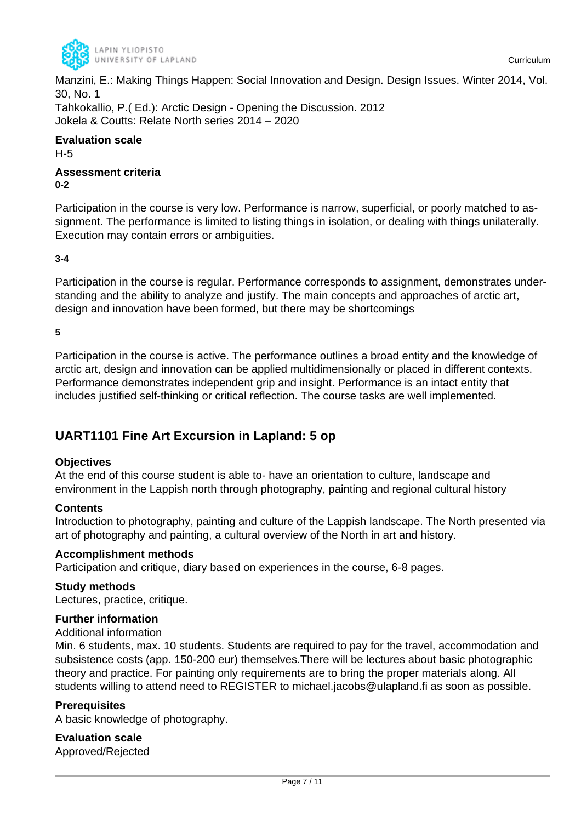

Manzini, E.: Making Things Happen: Social Innovation and Design. Design Issues. Winter 2014, Vol. 30, No. 1 Tahkokallio, P.( Ed.): Arctic Design - Opening the Discussion. 2012 Jokela & Coutts: Relate North series 2014 – 2020

### **Evaluation scale**

H-5

#### **Assessment criteria 0-2**

Participation in the course is very low. Performance is narrow, superficial, or poorly matched to assignment. The performance is limited to listing things in isolation, or dealing with things unilaterally. Execution may contain errors or ambiguities.

### **3-4**

Participation in the course is regular. Performance corresponds to assignment, demonstrates understanding and the ability to analyze and justify. The main concepts and approaches of arctic art, design and innovation have been formed, but there may be shortcomings

**5**

Participation in the course is active. The performance outlines a broad entity and the knowledge of arctic art, design and innovation can be applied multidimensionally or placed in different contexts. Performance demonstrates independent grip and insight. Performance is an intact entity that includes justified self-thinking or critical reflection. The course tasks are well implemented.

# **UART1101 Fine Art Excursion in Lapland: 5 op**

### **Objectives**

At the end of this course student is able to- have an orientation to culture, landscape and environment in the Lappish north through photography, painting and regional cultural history

### **Contents**

Introduction to photography, painting and culture of the Lappish landscape. The North presented via art of photography and painting, a cultural overview of the North in art and history.

### **Accomplishment methods**

Participation and critique, diary based on experiences in the course, 6-8 pages.

### **Study methods**

Lectures, practice, critique.

### **Further information**

Additional information

Min. 6 students, max. 10 students. Students are required to pay for the travel, accommodation and subsistence costs (app. 150-200 eur) themselves.There will be lectures about basic photographic theory and practice. For painting only requirements are to bring the proper materials along. All students willing to attend need to REGISTER to michael.jacobs@ulapland.fi as soon as possible.

### **Prerequisites**

A basic knowledge of photography.

**Evaluation scale** Approved/Rejected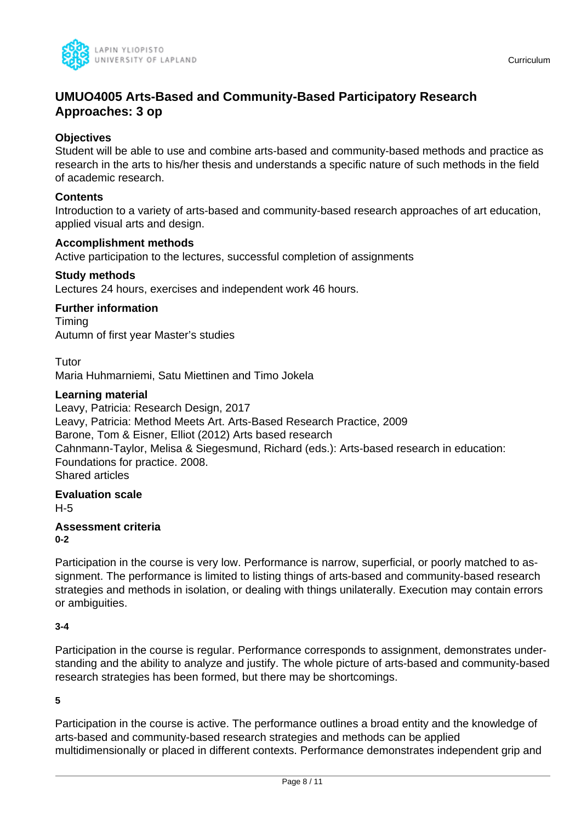

# **UMUO4005 Arts-Based and Community-Based Participatory Research Approaches: 3 op**

### **Objectives**

Student will be able to use and combine arts-based and community-based methods and practice as research in the arts to his/her thesis and understands a specific nature of such methods in the field of academic research.

### **Contents**

Introduction to a variety of arts-based and community-based research approaches of art education, applied visual arts and design.

### **Accomplishment methods**

Active participation to the lectures, successful completion of assignments

### **Study methods**

Lectures 24 hours, exercises and independent work 46 hours.

### **Further information**

Timing Autumn of first year Master's studies

Tutor Maria Huhmarniemi, Satu Miettinen and Timo Jokela

### **Learning material**

Leavy, Patricia: Research Design, 2017 Leavy, Patricia: Method Meets Art. Arts-Based Research Practice, 2009 Barone, Tom & Eisner, Elliot (2012) Arts based research Cahnmann-Taylor, Melisa & Siegesmund, Richard (eds.): Arts-based research in education: Foundations for practice. 2008. Shared articles

#### **Evaluation scale** H-5

# **Assessment criteria**

**0-2**

Participation in the course is very low. Performance is narrow, superficial, or poorly matched to assignment. The performance is limited to listing things of arts-based and community-based research strategies and methods in isolation, or dealing with things unilaterally. Execution may contain errors or ambiguities.

### **3-4**

Participation in the course is regular. Performance corresponds to assignment, demonstrates understanding and the ability to analyze and justify. The whole picture of arts-based and community-based research strategies has been formed, but there may be shortcomings.

**5**

Participation in the course is active. The performance outlines a broad entity and the knowledge of arts-based and community-based research strategies and methods can be applied multidimensionally or placed in different contexts. Performance demonstrates independent grip and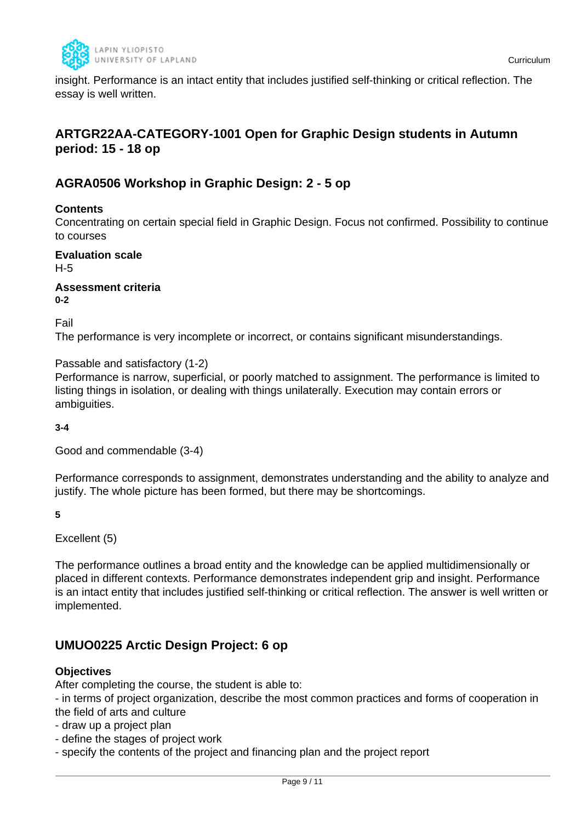

insight. Performance is an intact entity that includes justified self-thinking or critical reflection. The essay is well written.

# **ARTGR22AA-CATEGORY-1001 Open for Graphic Design students in Autumn period: 15 - 18 op**

# **AGRA0506 Workshop in Graphic Design: 2 - 5 op**

### **Contents**

Concentrating on certain special field in Graphic Design. Focus not confirmed. Possibility to continue to courses

**Evaluation scale** H-5

**Assessment criteria 0-2**

Fail

The performance is very incomplete or incorrect, or contains significant misunderstandings.

Passable and satisfactory (1-2)

Performance is narrow, superficial, or poorly matched to assignment. The performance is limited to listing things in isolation, or dealing with things unilaterally. Execution may contain errors or ambiguities.

**3-4**

Good and commendable (3-4)

Performance corresponds to assignment, demonstrates understanding and the ability to analyze and justify. The whole picture has been formed, but there may be shortcomings.

**5**

Excellent (5)

The performance outlines a broad entity and the knowledge can be applied multidimensionally or placed in different contexts. Performance demonstrates independent grip and insight. Performance is an intact entity that includes justified self-thinking or critical reflection. The answer is well written or implemented.

# **UMUO0225 Arctic Design Project: 6 op**

### **Objectives**

After completing the course, the student is able to:

- in terms of project organization, describe the most common practices and forms of cooperation in the field of arts and culture

- draw up a project plan
- define the stages of project work
- specify the contents of the project and financing plan and the project report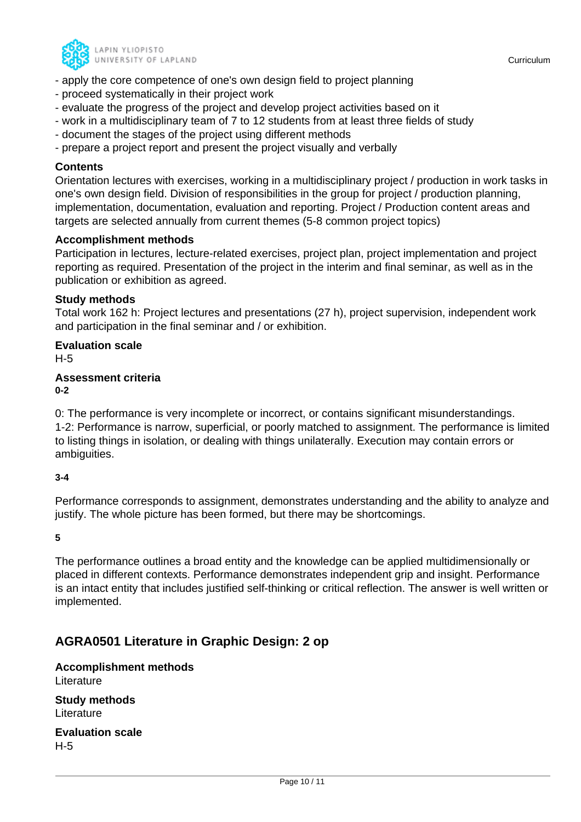

- apply the core competence of one's own design field to project planning
- proceed systematically in their project work
- evaluate the progress of the project and develop project activities based on it
- work in a multidisciplinary team of 7 to 12 students from at least three fields of study
- document the stages of the project using different methods
- prepare a project report and present the project visually and verbally

### **Contents**

Orientation lectures with exercises, working in a multidisciplinary project / production in work tasks in one's own design field. Division of responsibilities in the group for project / production planning, implementation, documentation, evaluation and reporting. Project / Production content areas and targets are selected annually from current themes (5-8 common project topics)

### **Accomplishment methods**

Participation in lectures, lecture-related exercises, project plan, project implementation and project reporting as required. Presentation of the project in the interim and final seminar, as well as in the publication or exhibition as agreed.

### **Study methods**

Total work 162 h: Project lectures and presentations (27 h), project supervision, independent work and participation in the final seminar and / or exhibition.

### **Evaluation scale**

H-5

#### **Assessment criteria 0-2**

0: The performance is very incomplete or incorrect, or contains significant misunderstandings. 1-2: Performance is narrow, superficial, or poorly matched to assignment. The performance is limited to listing things in isolation, or dealing with things unilaterally. Execution may contain errors or ambiguities.

### **3-4**

Performance corresponds to assignment, demonstrates understanding and the ability to analyze and justify. The whole picture has been formed, but there may be shortcomings.

**5**

The performance outlines a broad entity and the knowledge can be applied multidimensionally or placed in different contexts. Performance demonstrates independent grip and insight. Performance is an intact entity that includes justified self-thinking or critical reflection. The answer is well written or implemented.

# **AGRA0501 Literature in Graphic Design: 2 op**

**Accomplishment methods Literature** 

**Study methods** Literature

**Evaluation scale** H-5